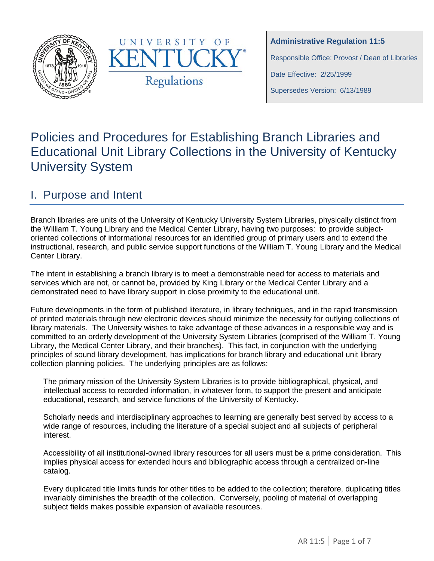



**Administrative Regulation 11:5**

Responsible Office: Provost / Dean of Libraries

Date Effective: 2/25/1999

Supersedes Version: 6/13/1989

# Policies and Procedures for Establishing Branch Libraries and Educational Unit Library Collections in the University of Kentucky University System

## I. Purpose and Intent

Branch libraries are units of the University of Kentucky University System Libraries, physically distinct from the William T. Young Library and the Medical Center Library, having two purposes: to provide subjectoriented collections of informational resources for an identified group of primary users and to extend the instructional, research, and public service support functions of the William T. Young Library and the Medical Center Library.

The intent in establishing a branch library is to meet a demonstrable need for access to materials and services which are not, or cannot be, provided by King Library or the Medical Center Library and a demonstrated need to have library support in close proximity to the educational unit.

Future developments in the form of published literature, in library techniques, and in the rapid transmission of printed materials through new electronic devices should minimize the necessity for outlying collections of library materials. The University wishes to take advantage of these advances in a responsible way and is committed to an orderly development of the University System Libraries (comprised of the William T. Young Library, the Medical Center Library, and their branches). This fact, in conjunction with the underlying principles of sound library development, has implications for branch library and educational unit library collection planning policies. The underlying principles are as follows:

The primary mission of the University System Libraries is to provide bibliographical, physical, and intellectual access to recorded information, in whatever form, to support the present and anticipate educational, research, and service functions of the University of Kentucky.

Scholarly needs and interdisciplinary approaches to learning are generally best served by access to a wide range of resources, including the literature of a special subject and all subjects of peripheral interest.

Accessibility of all institutional-owned library resources for all users must be a prime consideration. This implies physical access for extended hours and bibliographic access through a centralized on-line catalog.

Every duplicated title limits funds for other titles to be added to the collection; therefore, duplicating titles invariably diminishes the breadth of the collection. Conversely, pooling of material of overlapping subject fields makes possible expansion of available resources.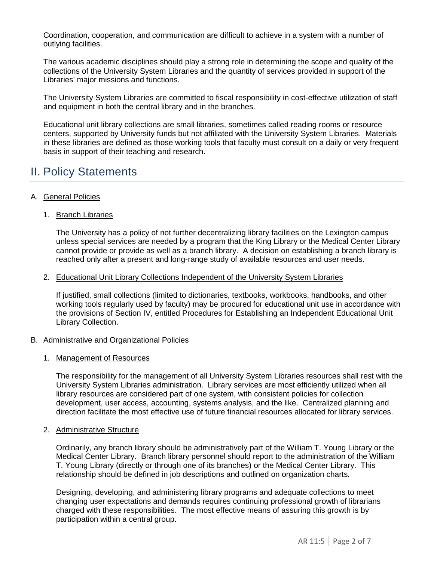Coordination, cooperation, and communication are difficult to achieve in a system with a number of outlying facilities.

The various academic disciplines should play a strong role in determining the scope and quality of the collections of the University System Libraries and the quantity of services provided in support of the Libraries' major missions and functions.

The University System Libraries are committed to fiscal responsibility in cost-effective utilization of staff and equipment in both the central library and in the branches.

Educational unit library collections are small libraries, sometimes called reading rooms or resource centers, supported by University funds but not affiliated with the University System Libraries. Materials in these libraries are defined as those working tools that faculty must consult on a daily or very frequent basis in support of their teaching and research.

## II. Policy Statements

#### A. General Policies

1. Branch Libraries

The University has a policy of not further decentralizing library facilities on the Lexington campus unless special services are needed by a program that the King Library or the Medical Center Library cannot provide or provide as well as a branch library. A decision on establishing a branch library is reached only after a present and long-range study of available resources and user needs.

#### 2. Educational Unit Library Collections Independent of the University System Libraries

If justified, small collections (limited to dictionaries, textbooks, workbooks, handbooks, and other working tools regularly used by faculty) may be procured for educational unit use in accordance with the provisions of Section IV, entitled Procedures for Establishing an Independent Educational Unit Library Collection.

#### B. Administrative and Organizational Policies

#### 1. Management of Resources

The responsibility for the management of all University System Libraries resources shall rest with the University System Libraries administration. Library services are most efficiently utilized when all library resources are considered part of one system, with consistent policies for collection development, user access, accounting, systems analysis, and the like. Centralized planning and direction facilitate the most effective use of future financial resources allocated for library services.

#### 2. Administrative Structure

Ordinarily, any branch library should be administratively part of the William T. Young Library or the Medical Center Library. Branch library personnel should report to the administration of the William T. Young Library (directly or through one of its branches) or the Medical Center Library. This relationship should be defined in job descriptions and outlined on organization charts.

Designing, developing, and administering library programs and adequate collections to meet changing user expectations and demands requires continuing professional growth of librarians charged with these responsibilities. The most effective means of assuring this growth is by participation within a central group.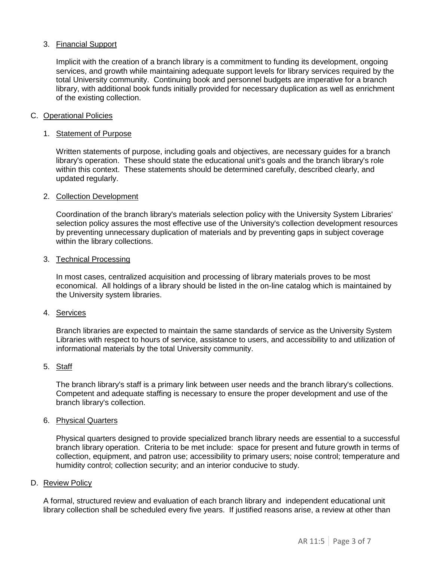#### 3. Financial Support

Implicit with the creation of a branch library is a commitment to funding its development, ongoing services, and growth while maintaining adequate support levels for library services required by the total University community. Continuing book and personnel budgets are imperative for a branch library, with additional book funds initially provided for necessary duplication as well as enrichment of the existing collection.

#### C. Operational Policies

#### 1. Statement of Purpose

Written statements of purpose, including goals and objectives, are necessary guides for a branch library's operation. These should state the educational unit's goals and the branch library's role within this context. These statements should be determined carefully, described clearly, and updated regularly.

#### 2. Collection Development

Coordination of the branch library's materials selection policy with the University System Libraries' selection policy assures the most effective use of the University's collection development resources by preventing unnecessary duplication of materials and by preventing gaps in subject coverage within the library collections.

#### 3. Technical Processing

In most cases, centralized acquisition and processing of library materials proves to be most economical. All holdings of a library should be listed in the on-line catalog which is maintained by the University system libraries.

#### 4. Services

Branch libraries are expected to maintain the same standards of service as the University System Libraries with respect to hours of service, assistance to users, and accessibility to and utilization of informational materials by the total University community.

#### 5. Staff

The branch library's staff is a primary link between user needs and the branch library's collections. Competent and adequate staffing is necessary to ensure the proper development and use of the branch library's collection.

#### 6. Physical Quarters

Physical quarters designed to provide specialized branch library needs are essential to a successful branch library operation. Criteria to be met include: space for present and future growth in terms of collection, equipment, and patron use; accessibility to primary users; noise control; temperature and humidity control; collection security; and an interior conducive to study.

#### D. Review Policy

A formal, structured review and evaluation of each branch library and independent educational unit library collection shall be scheduled every five years. If justified reasons arise, a review at other than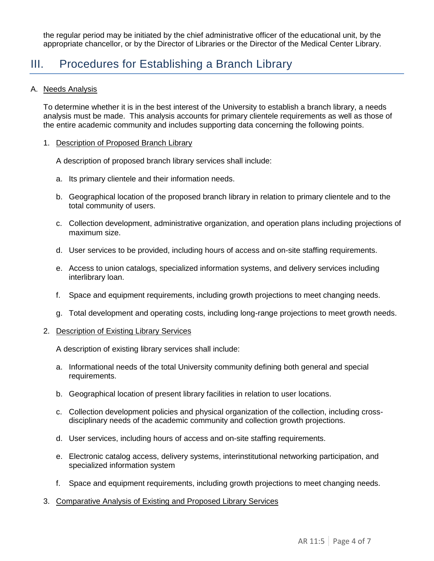the regular period may be initiated by the chief administrative officer of the educational unit, by the appropriate chancellor, or by the Director of Libraries or the Director of the Medical Center Library.

### III. Procedures for Establishing a Branch Library

#### A. Needs Analysis

To determine whether it is in the best interest of the University to establish a branch library, a needs analysis must be made. This analysis accounts for primary clientele requirements as well as those of the entire academic community and includes supporting data concerning the following points.

#### 1. Description of Proposed Branch Library

A description of proposed branch library services shall include:

- a. Its primary clientele and their information needs.
- b. Geographical location of the proposed branch library in relation to primary clientele and to the total community of users.
- c. Collection development, administrative organization, and operation plans including projections of maximum size.
- d. User services to be provided, including hours of access and on-site staffing requirements.
- e. Access to union catalogs, specialized information systems, and delivery services including interlibrary loan.
- f. Space and equipment requirements, including growth projections to meet changing needs.
- g. Total development and operating costs, including long-range projections to meet growth needs.

#### 2. Description of Existing Library Services

A description of existing library services shall include:

- a. Informational needs of the total University community defining both general and special requirements.
- b. Geographical location of present library facilities in relation to user locations.
- c. Collection development policies and physical organization of the collection, including crossdisciplinary needs of the academic community and collection growth projections.
- d. User services, including hours of access and on-site staffing requirements.
- e. Electronic catalog access, delivery systems, interinstitutional networking participation, and specialized information system
- f. Space and equipment requirements, including growth projections to meet changing needs.
- 3. Comparative Analysis of Existing and Proposed Library Services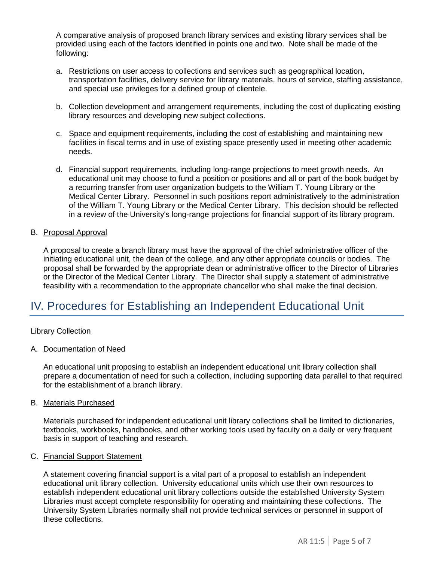A comparative analysis of proposed branch library services and existing library services shall be provided using each of the factors identified in points one and two. Note shall be made of the following:

- a. Restrictions on user access to collections and services such as geographical location, transportation facilities, delivery service for library materials, hours of service, staffing assistance, and special use privileges for a defined group of clientele.
- b. Collection development and arrangement requirements, including the cost of duplicating existing library resources and developing new subject collections.
- c. Space and equipment requirements, including the cost of establishing and maintaining new facilities in fiscal terms and in use of existing space presently used in meeting other academic needs.
- d. Financial support requirements, including long-range projections to meet growth needs. An educational unit may choose to fund a position or positions and all or part of the book budget by a recurring transfer from user organization budgets to the William T. Young Library or the Medical Center Library. Personnel in such positions report administratively to the administration of the William T. Young Library or the Medical Center Library. This decision should be reflected in a review of the University's long-range projections for financial support of its library program.

#### B. Proposal Approval

A proposal to create a branch library must have the approval of the chief administrative officer of the initiating educational unit, the dean of the college, and any other appropriate councils or bodies. The proposal shall be forwarded by the appropriate dean or administrative officer to the Director of Libraries or the Director of the Medical Center Library. The Director shall supply a statement of administrative feasibility with a recommendation to the appropriate chancellor who shall make the final decision.

### IV. Procedures for Establishing an Independent Educational Unit

#### Library Collection

#### A. Documentation of Need

An educational unit proposing to establish an independent educational unit library collection shall prepare a documentation of need for such a collection, including supporting data parallel to that required for the establishment of a branch library.

#### B. Materials Purchased

Materials purchased for independent educational unit library collections shall be limited to dictionaries, textbooks, workbooks, handbooks, and other working tools used by faculty on a daily or very frequent basis in support of teaching and research.

#### C. Financial Support Statement

A statement covering financial support is a vital part of a proposal to establish an independent educational unit library collection. University educational units which use their own resources to establish independent educational unit library collections outside the established University System Libraries must accept complete responsibility for operating and maintaining these collections. The University System Libraries normally shall not provide technical services or personnel in support of these collections.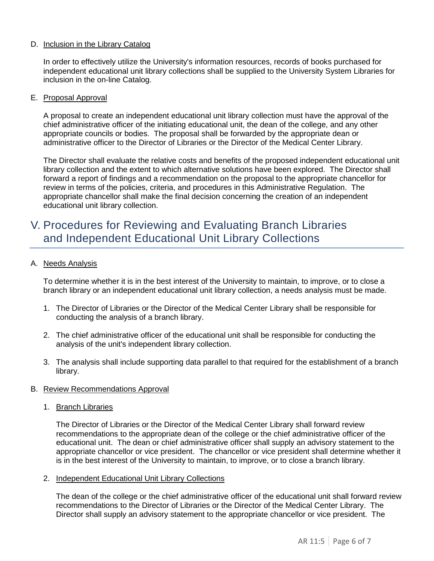#### D. Inclusion in the Library Catalog

In order to effectively utilize the University's information resources, records of books purchased for independent educational unit library collections shall be supplied to the University System Libraries for inclusion in the on-line Catalog.

#### E. Proposal Approval

A proposal to create an independent educational unit library collection must have the approval of the chief administrative officer of the initiating educational unit, the dean of the college, and any other appropriate councils or bodies. The proposal shall be forwarded by the appropriate dean or administrative officer to the Director of Libraries or the Director of the Medical Center Library.

The Director shall evaluate the relative costs and benefits of the proposed independent educational unit library collection and the extent to which alternative solutions have been explored. The Director shall forward a report of findings and a recommendation on the proposal to the appropriate chancellor for review in terms of the policies, criteria, and procedures in this Administrative Regulation. The appropriate chancellor shall make the final decision concerning the creation of an independent educational unit library collection.

### V. Procedures for Reviewing and Evaluating Branch Libraries and Independent Educational Unit Library Collections

#### A. Needs Analysis

To determine whether it is in the best interest of the University to maintain, to improve, or to close a branch library or an independent educational unit library collection, a needs analysis must be made.

- 1. The Director of Libraries or the Director of the Medical Center Library shall be responsible for conducting the analysis of a branch library.
- 2. The chief administrative officer of the educational unit shall be responsible for conducting the analysis of the unit's independent library collection.
- 3. The analysis shall include supporting data parallel to that required for the establishment of a branch library.

#### B. Review Recommendations Approval

1. Branch Libraries

The Director of Libraries or the Director of the Medical Center Library shall forward review recommendations to the appropriate dean of the college or the chief administrative officer of the educational unit. The dean or chief administrative officer shall supply an advisory statement to the appropriate chancellor or vice president. The chancellor or vice president shall determine whether it is in the best interest of the University to maintain, to improve, or to close a branch library.

2. Independent Educational Unit Library Collections

The dean of the college or the chief administrative officer of the educational unit shall forward review recommendations to the Director of Libraries or the Director of the Medical Center Library. The Director shall supply an advisory statement to the appropriate chancellor or vice president. The